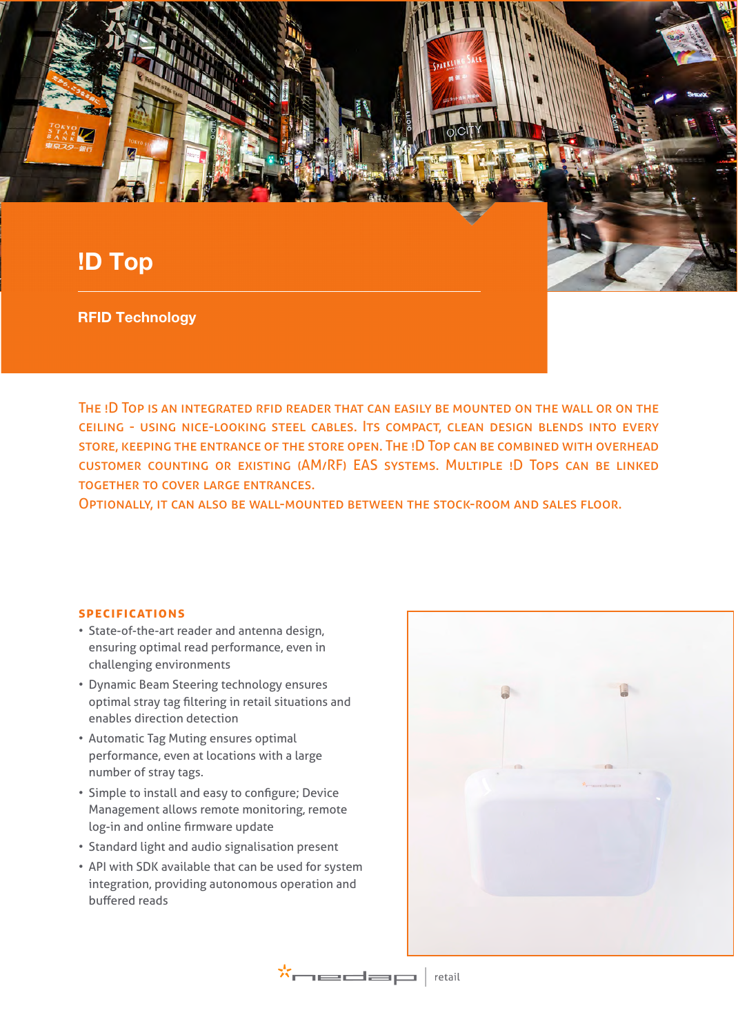# !D Top

RFID Technology

The !D Top is an integrated rfid reader that can easily be mounted on the wall or on the ceiling - using nice-looking steel cables. Its compact, clean design blends into every store, keeping the entrance of the store open. The !D Top can be combined with overhead customer counting or existing (AM/RF) EAS systems. Multiple !D Tops can be linked together to cover large entrances.

Optionally, it can also be wall-mounted between the stock-room and sales floor.

## **specifications**

- State-of-the-art reader and antenna design, ensuring optimal read performance, even in challenging environments
- Dynamic Beam Steering technology ensures optimal stray tag filtering in retail situations and enables direction detection
- Automatic Tag Muting ensures optimal performance, even at locations with a large number of stray tags.
- Simple to install and easy to configure; Device Management allows remote monitoring, remote log-in and online firmware update
- Standard light and audio signalisation present
- API with SDK available that can be used for system integration, providing autonomous operation and buffered reads



 $\mathbf{x} \leftarrow \mathbf{x} \leftarrow \mathbf{x} \leftarrow \mathbf{x} \leftarrow \mathbf{x} \leftarrow \mathbf{x} \leftarrow \mathbf{x} \leftarrow \mathbf{x} \leftarrow \mathbf{x} \leftarrow \mathbf{x} \leftarrow \mathbf{x} \leftarrow \mathbf{x} \leftarrow \mathbf{x} \leftarrow \mathbf{x} \leftarrow \mathbf{x} \leftarrow \mathbf{x} \leftarrow \mathbf{x} \leftarrow \mathbf{x} \leftarrow \mathbf{x} \leftarrow \mathbf{x} \leftarrow \mathbf{x} \leftarrow \mathbf{x} \leftarrow \mathbf{x} \leftarrow \mathbf{x} \leftarrow \mathbf{x} \leftarrow \mathbf{x} \leftarrow \mathbf{x} \leftarrow \mathbf{x$